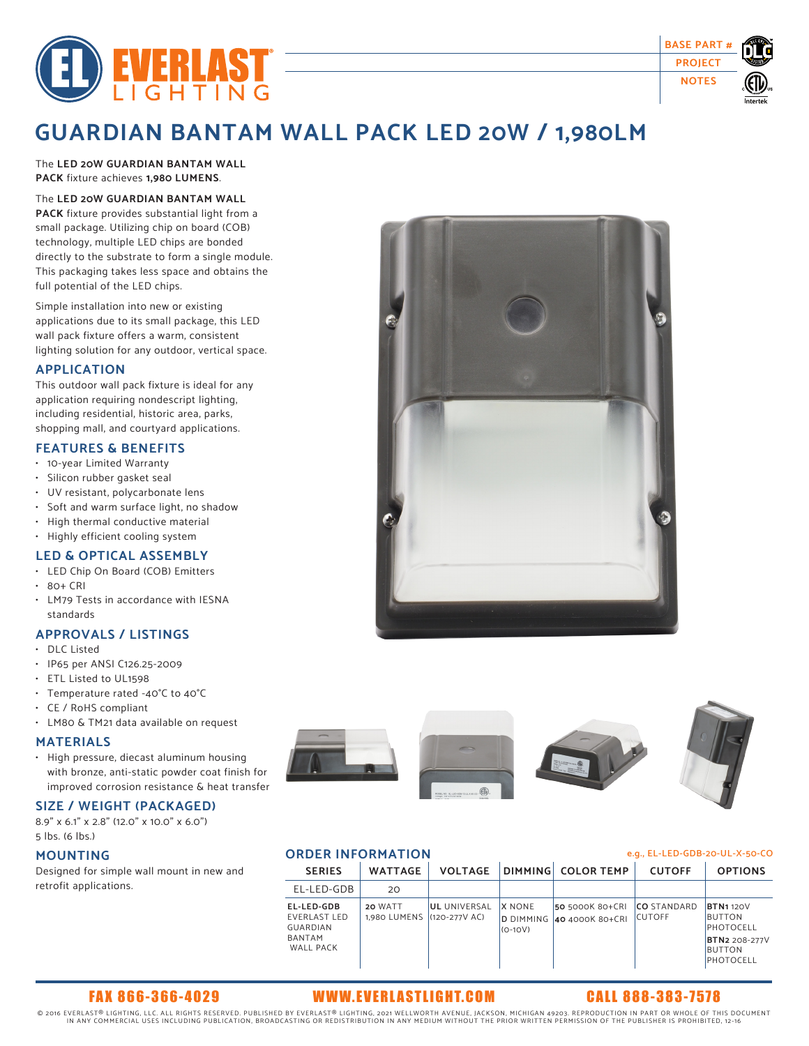



# **GUARDIAN BANTAM WALL PACK LED 20W / 1,980LM**

The **LED 20W GUARDIAN BANTAM WALL PACK** fixture achieves **1,980 LUMENS**.

### The **LED 20W GUARDIAN BANTAM WALL PACK** fixture provides substantial light from a

small package. Utilizing chip on board (COB) technology, multiple LED chips are bonded directly to the substrate to form a single module. This packaging takes less space and obtains the full potential of the LED chips.

Simple installation into new or existing applications due to its small package, this LED wall pack fixture offers a warm, consistent lighting solution for any outdoor, vertical space.

### **APPLICATION**

This outdoor wall pack fixture is ideal for any application requiring nondescript lighting, including residential, historic area, parks, shopping mall, and courtyard applications.

# **FEATURES & BENEFITS**

- 10-year Limited Warranty
- Silicon rubber gasket seal
- UV resistant, polycarbonate lens
- Soft and warm surface light, no shadow
- High thermal conductive material
- Highly efficient cooling system

# **LED & OPTICAL ASSEMBLY**

- LED Chip On Board (COB) Emitters
- 80+ CRI
- LM79 Tests in accordance with IESNA standards

# **APPROVALS / LISTINGS**

- DLC Listed
- IP65 per ANSI C126.25-2009
- ETL Listed to UL1598
- Temperature rated -40°C to 40°C
- CE / RoHS compliant
- LM80 & TM21 data available on request

### **MATERIALS**

• High pressure, diecast aluminum housing with bronze, anti-static powder coat finish for improved corrosion resistance & heat transfer

# **SIZE / WEIGHT (PACKAGED)**

8.9" x 6.1" x 2.8" (12.0" x 10.0" x 6.0") 5 lbs. (6 lbs.)

### **MOUNTING**

Designed for simple wall mount in new and retrofit applications.





# **ORDER INFORMATION e.g., EL-LED-GDB-20-UL-X-50-CO**

| <b>SERIES</b>                                                 | <b>WATTAGE</b>                        | <b>VOLTAGE</b>      |                            | DIMMING COLOR TEMP                           | <b>CUTOFF</b>                        | <b>OPTIONS</b>                                |
|---------------------------------------------------------------|---------------------------------------|---------------------|----------------------------|----------------------------------------------|--------------------------------------|-----------------------------------------------|
| EL-LED-GDB                                                    | 20                                    |                     |                            |                                              |                                      |                                               |
| EL-LED-GDB<br>EVERLAST LED<br>GUARDIAN<br>BANTAM<br>WALL PACK | 20 WATT<br>1.980 LUMENS (120-277V AC) | <b>UL UNIVERSAL</b> | <b>X NONE</b><br>$(O-1OV)$ | 50 5000K 80+CRI<br>D DIMMING 40 4000K 80+CRI | <b>ICO STANDARD</b><br><b>CUTOFF</b> | <b>BTN1120V</b><br><b>BUTTON</b><br>PHOTOCELL |
|                                                               |                                       |                     |                            |                                              |                                      | <b>BTN2 208-277V</b><br>BUTTON<br>PHOTOCELL   |

# FAX 866-366-4029 WWW.EVERL ASTLIGHT.COM CALL 888-383-7578

© 2016 EVERLAST® LIGHTING, LLC. ALL RIGHTS RESERVED. PUBLISHED BY EVERLAST® LIGHTING, 2021 WELLWORTH AVENUE, JACKSON, MICHIGAN 49203. REPRODUCTION IN PART OR WHOLE OF THIS DOCUMENT<br>IN ANY COMMERCIAL USES INCLUDING PUBLICA